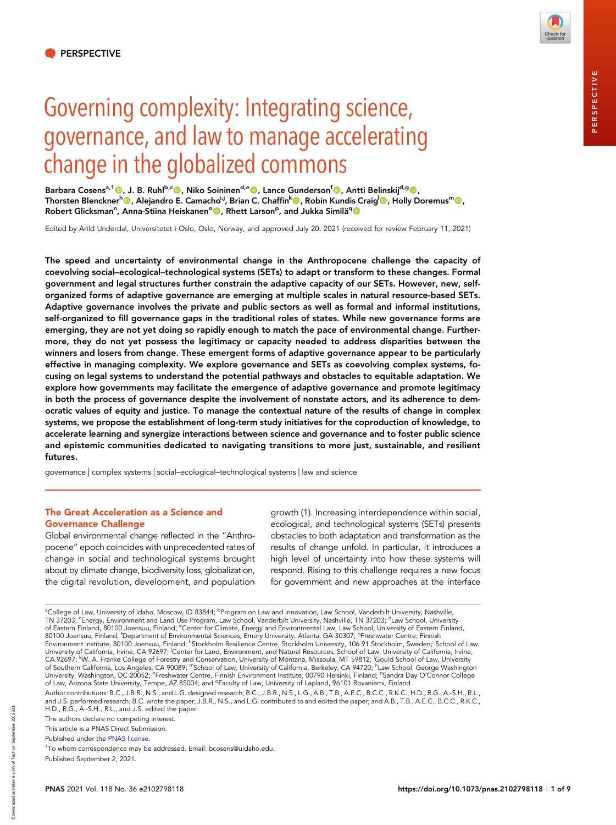# Governing complexity: Integrating science, governance, and law to manage accelerating change in the globalized commons

Barbara Cosens<sup>a,1</sup>©, J. B. Ruhl<sup>b,c</sup>©, Niko Soininen<sup>d,e</sup>©, Lance Gunderson<sup>f</sup>©, Antti Belinskij<sup>d,g</sup>©, Thorsten Blenckner<sup>h</sup>©, Alejandro E. Camacho<sup>i,j</sup>, Brian C. Chaffin<sup>k</sup>©, Robin Kundis Craig<sup>l</sup>©, Holly Doremus<sup>m</sup>©, Robert Glicksman<sup>n</sup>, Anna-Stiina Heiskanen°<mark>®</mark>, Rhett Larson<sup>p</sup>, and Jukka Similä<sup>q</sup>®

Edited by Arild Underdal, Universitetet i Oslo, Oslo, Norway, and approved July 20, 2021 (received for review February 11, 2021)

The speed and uncertainty of environmental change in the Anthropocene challenge the capacity of coevolving social–ecological–technological systems (SETs) to adapt or transform to these changes. Formal government and legal structures further constrain the adaptive capacity of our SETs. However, new, selforganized forms of adaptive governance are emerging at multiple scales in natural resource-based SETs. Adaptive governance involves the private and public sectors as well as formal and informal institutions, self-organized to fill governance gaps in the traditional roles of states. While new governance forms are emerging, they are not yet doing so rapidly enough to match the pace of environmental change. Furthermore, they do not yet possess the legitimacy or capacity needed to address disparities between the winners and losers from change. These emergent forms of adaptive governance appear to be particularly effective in managing complexity. We explore governance and SETs as coevolving complex systems, focusing on legal systems to understand the potential pathways and obstacles to equitable adaptation. We explore how governments may facilitate the emergence of adaptive governance and promote legitimacy in both the process of governance despite the involvement of nonstate actors, and its adherence to democratic values of equity and justice. To manage the contextual nature of the results of change in complex systems, we propose the establishment of long-term study initiatives for the coproduction of knowledge, to accelerate learning and synergize interactions between science and governance and to foster public science and epistemic communities dedicated to navigating transitions to more just, sustainable, and resilient futures.

governance | complex systems | social–ecological–technological systems | law and science

### The Great Acceleration as a Science and Governance Challenge

Global environmental change reflected in the "Anthropocene" epoch coincides with unprecedented rates of change in social and technological systems brought about by climate change, biodiversity loss, globalization, the digital revolution, development, and population

growth (1). Increasing interdependence within social, ecological, and technological systems (SETs) presents obstacles to both adaptation and transformation as the results of change unfold. In particular, it introduces a high level of uncertainty into how these systems will respond. Rising to this challenge requires a new focus for government and new approaches at the interface

This article is a PNAS Direct Submission.

2021

<sup>&</sup>lt;sup>a</sup>College of Law, University of Idaho, Moscow, ID 83844; <sup>b</sup>Program on Law and Innovation, Law School, Vanderbilt University, Nashville, TN 37203; <sup>c</sup>Energy, Environment and Land Use Program, Law School, Vanderbilt University, Nashville, TN 37203; <sup>d</sup>Law School, University of Eastem Finland, 80100 Joensuu, Finland; <sup>e</sup>Center for Climate, Energy and Environmental Law, Law School, University of Eastem Finland,<br>80100 Joensuu, Finland; <sup>f</sup>Department of Environmental Sciences, Emory University, A Environment Institute, 80100 Joensuu, Finland; <sup>h</sup>Stockholm Resilience Ćentre, Stockholm University, 106 91 Stockholm, Sweden; <sup>'</sup>School of Law, University of California, Irvine, CA 92697; Center for Land, Environment, and Natural Resources, School of Law, University of California, Irvine, CA 92697; <sup>k</sup>W. A. Franke College of Forestry and Conservation, University of Montana, Missoula, MT 59812; <sup>I</sup>Gould School of Law, University of Southern California, Los Angeles, CA 90089; "School of Law, University of California, Berkeley, CA 94720; "Law School, George Washington University, Washington, DC 20052; °Freshwater Centre, Finnish Environment Institute, 00790 Helsinki, Finland; <sup>p</sup>Sandra Day O'Connor College of Law, Arizona State University, Tempe, AZ 85004; and <sup>q</sup>Faculty of Law, University of Lapland, 96101 Rovaniemi, Finland Author contributions: B.C., J.B.R., N.S., and L.G. designed research; B.C., J.B.R., N.S., L.G., A.B., T.B., A.E.C., B.C.C., R.K.C., H.D., R.G., A.-S.H., R.L., and J.S. performed research; B.C. wrote the paper; J.B.R., N.S., and L.G. contributed to and edited the paper; and A.B., T.B., A.E.C., B.C.C., R.K.C., H.D., R.G., A.-S.H., R.L., and J.S. edited the paper. The authors declare no competing interest.

Published under the [PNAS license.](https://www.pnas.org/site/aboutpnas/licenses.xhtml)

<sup>&</sup>lt;sup>1</sup>To whom correspondence may be addressed. Email: [bcosens@uidaho.edu](mailto:bcosens@uidaho.edu).

Published September 2, 2021.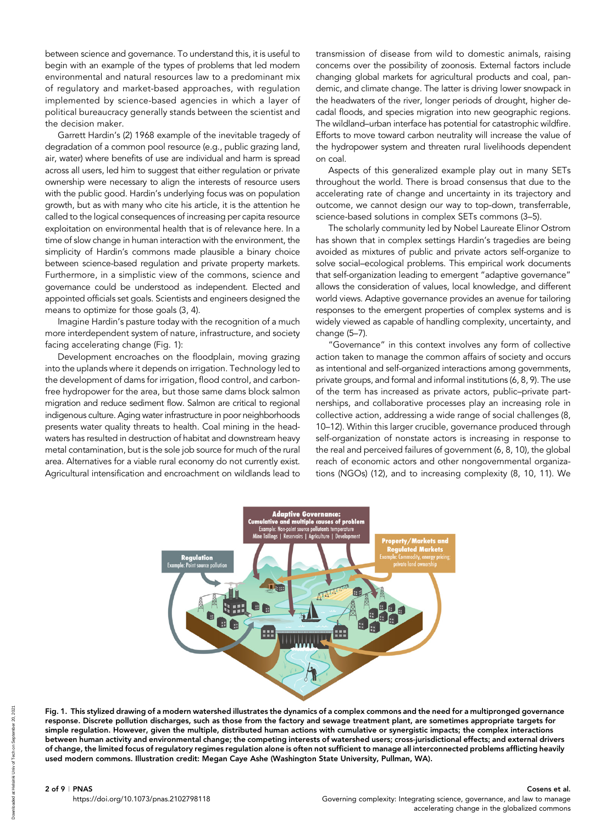between science and governance. To understand this, it is useful to begin with an example of the types of problems that led modern environmental and natural resources law to a predominant mix of regulatory and market-based approaches, with regulation implemented by science-based agencies in which a layer of political bureaucracy generally stands between the scientist and the decision maker.

Garrett Hardin's (2) 1968 example of the inevitable tragedy of degradation of a common pool resource (e.g., public grazing land, air, water) where benefits of use are individual and harm is spread across all users, led him to suggest that either regulation or private ownership were necessary to align the interests of resource users with the public good. Hardin's underlying focus was on population growth, but as with many who cite his article, it is the attention he called to the logical consequences of increasing per capita resource exploitation on environmental health that is of relevance here. In a time of slow change in human interaction with the environment, the simplicity of Hardin's commons made plausible a binary choice between science-based regulation and private property markets. Furthermore, in a simplistic view of the commons, science and governance could be understood as independent. Elected and appointed officials set goals. Scientists and engineers designed the means to optimize for those goals (3, 4).

Imagine Hardin's pasture today with the recognition of a much more interdependent system of nature, infrastructure, and society facing accelerating change (Fig. 1):

Development encroaches on the floodplain, moving grazing into the uplands where it depends on irrigation. Technology led to the development of dams for irrigation, flood control, and carbonfree hydropower for the area, but those same dams block salmon migration and reduce sediment flow. Salmon are critical to regional indigenous culture. Aging water infrastructure in poor neighborhoods presents water quality threats to health. Coal mining in the headwaters has resulted in destruction of habitat and downstream heavy metal contamination, but is the sole job source for much of the rural area. Alternatives for a viable rural economy do not currently exist. Agricultural intensification and encroachment on wildlands lead to transmission of disease from wild to domestic animals, raising concerns over the possibility of zoonosis. External factors include changing global markets for agricultural products and coal, pandemic, and climate change. The latter is driving lower snowpack in the headwaters of the river, longer periods of drought, higher decadal floods, and species migration into new geographic regions. The wildland–urban interface has potential for catastrophic wildfire. Efforts to move toward carbon neutrality will increase the value of the hydropower system and threaten rural livelihoods dependent on coal.

Aspects of this generalized example play out in many SETs throughout the world. There is broad consensus that due to the accelerating rate of change and uncertainty in its trajectory and outcome, we cannot design our way to top-down, transferrable, science-based solutions in complex SETs commons (3–5).

The scholarly community led by Nobel Laureate Elinor Ostrom has shown that in complex settings Hardin's tragedies are being avoided as mixtures of public and private actors self-organize to solve social–ecological problems. This empirical work documents that self-organization leading to emergent "adaptive governance" allows the consideration of values, local knowledge, and different world views. Adaptive governance provides an avenue for tailoring responses to the emergent properties of complex systems and is widely viewed as capable of handling complexity, uncertainty, and change (5–7).

"Governance" in this context involves any form of collective action taken to manage the common affairs of society and occurs as intentional and self-organized interactions among governments, private groups, and formal and informal institutions (6, 8, 9). The use of the term has increased as private actors, public–private partnerships, and collaborative processes play an increasing role in collective action, addressing a wide range of social challenges (8, 10–12). Within this larger crucible, governance produced through self-organization of nonstate actors is increasing in response to the real and perceived failures of government (6, 8, 10), the global reach of economic actors and other nongovernmental organizations (NGOs) (12), and to increasing complexity (8, 10, 11). We



Fig. 1. This stylized drawing of a modern watershed illustrates the dynamics of a complex commons and the need for a multipronged governance response. Discrete pollution discharges, such as those from the factory and sewage treatment plant, are sometimes appropriate targets for simple regulation. However, given the multiple, distributed human actions with cumulative or synergistic impacts; the complex interactions between human activity and environmental change; the competing interests of watershed users; cross-jurisdictional effects; and external drivers of change, the limited focus of regulatory regimes regulation alone is often not sufficient to manage all interconnected problems afflicting heavily used modern commons. Illustration credit: Megan Caye Ashe (Washington State University, Pullman, WA).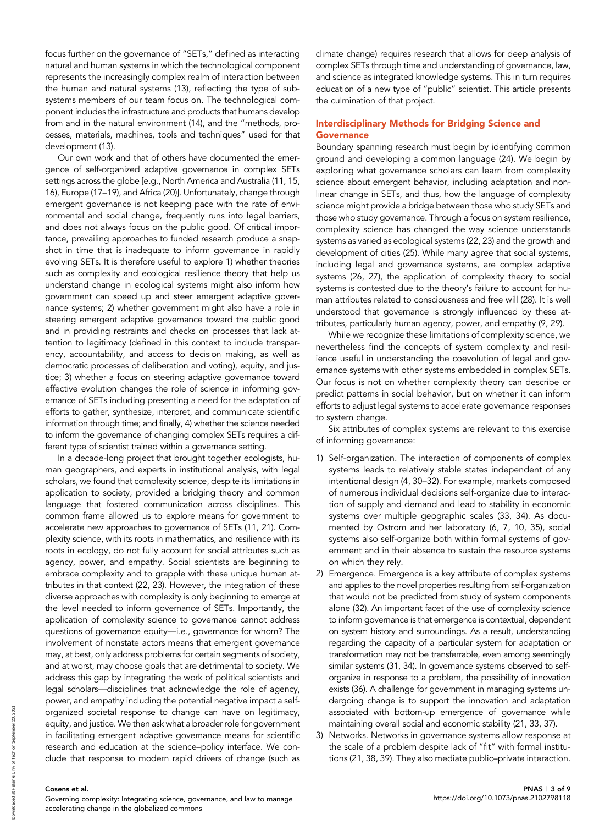focus further on the governance of "SETs," defined as interacting natural and human systems in which the technological component represents the increasingly complex realm of interaction between the human and natural systems (13), reflecting the type of subsystems members of our team focus on. The technological component includes the infrastructure and products that humans develop from and in the natural environment (14), and the "methods, processes, materials, machines, tools and techniques" used for that development (13).

Our own work and that of others have documented the emergence of self-organized adaptive governance in complex SETs settings across the globe [e.g., North America and Australia (11, 15, 16), Europe (17–19), and Africa (20)]. Unfortunately, change through emergent governance is not keeping pace with the rate of environmental and social change, frequently runs into legal barriers, and does not always focus on the public good. Of critical importance, prevailing approaches to funded research produce a snapshot in time that is inadequate to inform governance in rapidly evolving SETs. It is therefore useful to explore 1) whether theories such as complexity and ecological resilience theory that help us understand change in ecological systems might also inform how government can speed up and steer emergent adaptive governance systems; 2) whether government might also have a role in steering emergent adaptive governance toward the public good and in providing restraints and checks on processes that lack attention to legitimacy (defined in this context to include transparency, accountability, and access to decision making, as well as democratic processes of deliberation and voting), equity, and justice; 3) whether a focus on steering adaptive governance toward effective evolution changes the role of science in informing governance of SETs including presenting a need for the adaptation of efforts to gather, synthesize, interpret, and communicate scientific information through time; and finally, 4) whether the science needed to inform the governance of changing complex SETs requires a different type of scientist trained within a governance setting.

In a decade-long project that brought together ecologists, human geographers, and experts in institutional analysis, with legal scholars, we found that complexity science, despite its limitations in application to society, provided a bridging theory and common language that fostered communication across disciplines. This common frame allowed us to explore means for government to accelerate new approaches to governance of SETs (11, 21). Complexity science, with its roots in mathematics, and resilience with its roots in ecology, do not fully account for social attributes such as agency, power, and empathy. Social scientists are beginning to embrace complexity and to grapple with these unique human attributes in that context (22, 23). However, the integration of these diverse approaches with complexity is only beginning to emerge at the level needed to inform governance of SETs. Importantly, the application of complexity science to governance cannot address questions of governance equity—i.e., governance for whom? The involvement of nonstate actors means that emergent governance may, at best, only address problems for certain segments of society, and at worst, may choose goals that are detrimental to society. We address this gap by integrating the work of political scientists and legal scholars—disciplines that acknowledge the role of agency, power, and empathy including the potential negative impact a selforganized societal response to change can have on legitimacy, equity, and justice. We then ask what a broader role for government in facilitating emergent adaptive governance means for scientific research and education at the science–policy interface. We conclude that response to modern rapid drivers of change (such as climate change) requires research that allows for deep analysis of complex SETs through time and understanding of governance, law, and science as integrated knowledge systems. This in turn requires education of a new type of "public" scientist. This article presents the culmination of that project.

# Interdisciplinary Methods for Bridging Science and **Governance**

Boundary spanning research must begin by identifying common ground and developing a common language (24). We begin by exploring what governance scholars can learn from complexity science about emergent behavior, including adaptation and nonlinear change in SETs, and thus, how the language of complexity science might provide a bridge between those who study SETs and those who study governance. Through a focus on system resilience, complexity science has changed the way science understands systems as varied as ecological systems (22, 23) and the growth and development of cities (25). While many agree that social systems, including legal and governance systems, are complex adaptive systems (26, 27), the application of complexity theory to social systems is contested due to the theory's failure to account for human attributes related to consciousness and free will (28). It is well understood that governance is strongly influenced by these attributes, particularly human agency, power, and empathy (9, 29).

While we recognize these limitations of complexity science, we nevertheless find the concepts of system complexity and resilience useful in understanding the coevolution of legal and governance systems with other systems embedded in complex SETs. Our focus is not on whether complexity theory can describe or predict patterns in social behavior, but on whether it can inform efforts to adjust legal systems to accelerate governance responses to system change.

Six attributes of complex systems are relevant to this exercise of informing governance:

- 1) Self-organization. The interaction of components of complex systems leads to relatively stable states independent of any intentional design (4, 30–32). For example, markets composed of numerous individual decisions self-organize due to interaction of supply and demand and lead to stability in economic systems over multiple geographic scales (33, 34). As documented by Ostrom and her laboratory (6, 7, 10, 35), social systems also self-organize both within formal systems of government and in their absence to sustain the resource systems on which they rely.
- 2) Emergence. Emergence is a key attribute of complex systems and applies to the novel properties resulting from self-organization that would not be predicted from study of system components alone (32). An important facet of the use of complexity science to inform governance is that emergence is contextual, dependent on system history and surroundings. As a result, understanding regarding the capacity of a particular system for adaptation or transformation may not be transferrable, even among seemingly similar systems (31, 34). In governance systems observed to selforganize in response to a problem, the possibility of innovation exists (36). A challenge for government in managing systems undergoing change is to support the innovation and adaptation associated with bottom-up emergence of governance while maintaining overall social and economic stability (21, 33, 37).
- 3) Networks. Networks in governance systems allow response at the scale of a problem despite lack of "fit" with formal institutions (21, 38, 39). They also mediate public–private interaction.

Governing complexity: Integrating science, governance, and law to manage accelerating change in the globalized commons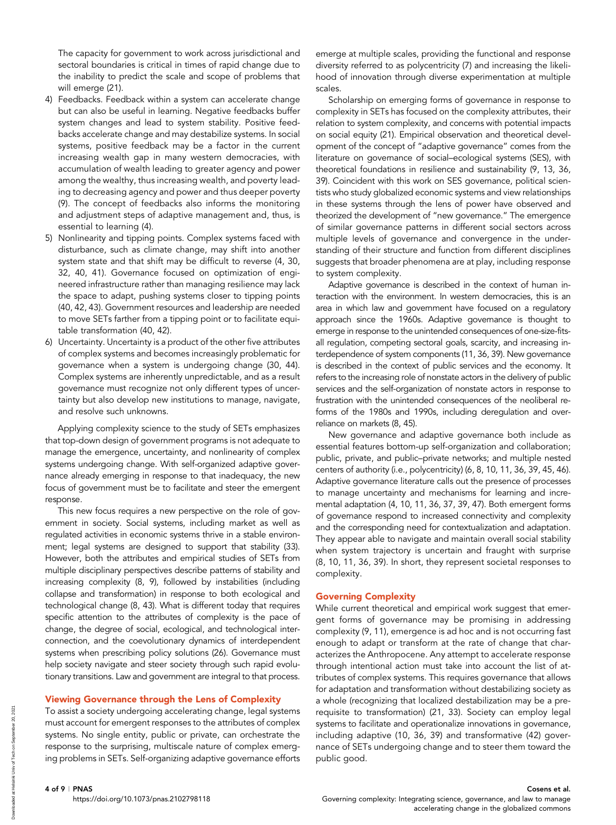The capacity for government to work across jurisdictional and sectoral boundaries is critical in times of rapid change due to the inability to predict the scale and scope of problems that will emerge (21).

- 4) Feedbacks. Feedback within a system can accelerate change but can also be useful in learning. Negative feedbacks buffer system changes and lead to system stability. Positive feedbacks accelerate change and may destabilize systems. In social systems, positive feedback may be a factor in the current increasing wealth gap in many western democracies, with accumulation of wealth leading to greater agency and power among the wealthy, thus increasing wealth, and poverty leading to decreasing agency and power and thus deeper poverty (9). The concept of feedbacks also informs the monitoring and adjustment steps of adaptive management and, thus, is essential to learning (4).
- 5) Nonlinearity and tipping points. Complex systems faced with disturbance, such as climate change, may shift into another system state and that shift may be difficult to reverse (4, 30, 32, 40, 41). Governance focused on optimization of engineered infrastructure rather than managing resilience may lack the space to adapt, pushing systems closer to tipping points (40, 42, 43). Government resources and leadership are needed to move SETs farther from a tipping point or to facilitate equitable transformation (40, 42).
- 6) Uncertainty. Uncertainty is a product of the other five attributes of complex systems and becomes increasingly problematic for governance when a system is undergoing change (30, 44). Complex systems are inherently unpredictable, and as a result governance must recognize not only different types of uncertainty but also develop new institutions to manage, navigate, and resolve such unknowns.

Applying complexity science to the study of SETs emphasizes that top-down design of government programs is not adequate to manage the emergence, uncertainty, and nonlinearity of complex systems undergoing change. With self-organized adaptive governance already emerging in response to that inadequacy, the new focus of government must be to facilitate and steer the emergent response.

This new focus requires a new perspective on the role of government in society. Social systems, including market as well as regulated activities in economic systems thrive in a stable environment; legal systems are designed to support that stability (33). However, both the attributes and empirical studies of SETs from multiple disciplinary perspectives describe patterns of stability and increasing complexity (8, 9), followed by instabilities (including collapse and transformation) in response to both ecological and technological change (8, 43). What is different today that requires specific attention to the attributes of complexity is the pace of change, the degree of social, ecological, and technological interconnection, and the coevolutionary dynamics of interdependent systems when prescribing policy solutions (26). Governance must help society navigate and steer society through such rapid evolutionary transitions. Law and government are integral to that process.

## Viewing Governance through the Lens of Complexity

To assist a society undergoing accelerating change, legal systems must account for emergent responses to the attributes of complex systems. No single entity, public or private, can orchestrate the response to the surprising, multiscale nature of complex emerging problems in SETs. Self-organizing adaptive governance efforts emerge at multiple scales, providing the functional and response diversity referred to as polycentricity (7) and increasing the likelihood of innovation through diverse experimentation at multiple scales.

Scholarship on emerging forms of governance in response to complexity in SETs has focused on the complexity attributes, their relation to system complexity, and concerns with potential impacts on social equity (21). Empirical observation and theoretical development of the concept of "adaptive governance" comes from the literature on governance of social–ecological systems (SES), with theoretical foundations in resilience and sustainability (9, 13, 36, 39). Coincident with this work on SES governance, political scientists who study globalized economic systems and view relationships in these systems through the lens of power have observed and theorized the development of "new governance." The emergence of similar governance patterns in different social sectors across multiple levels of governance and convergence in the understanding of their structure and function from different disciplines suggests that broader phenomena are at play, including response to system complexity.

Adaptive governance is described in the context of human interaction with the environment. In western democracies, this is an area in which law and government have focused on a regulatory approach since the 1960s. Adaptive governance is thought to emerge in response to the unintended consequences of one-size-fitsall regulation, competing sectoral goals, scarcity, and increasing interdependence of system components (11, 36, 39). New governance is described in the context of public services and the economy. It refers to the increasing role of nonstate actors in the delivery of public services and the self-organization of nonstate actors in response to frustration with the unintended consequences of the neoliberal reforms of the 1980s and 1990s, including deregulation and overreliance on markets (8, 45).

New governance and adaptive governance both include as essential features bottom-up self-organization and collaboration; public, private, and public–private networks; and multiple nested centers of authority (i.e., polycentricity) (6, 8, 10, 11, 36, 39, 45, 46). Adaptive governance literature calls out the presence of processes to manage uncertainty and mechanisms for learning and incremental adaptation (4, 10, 11, 36, 37, 39, 47). Both emergent forms of governance respond to increased connectivity and complexity and the corresponding need for contextualization and adaptation. They appear able to navigate and maintain overall social stability when system trajectory is uncertain and fraught with surprise (8, 10, 11, 36, 39). In short, they represent societal responses to complexity.

#### Governing Complexity

While current theoretical and empirical work suggest that emergent forms of governance may be promising in addressing complexity (9, 11), emergence is ad hoc and is not occurring fast enough to adapt or transform at the rate of change that characterizes the Anthropocene. Any attempt to accelerate response through intentional action must take into account the list of attributes of complex systems. This requires governance that allows for adaptation and transformation without destabilizing society as a whole (recognizing that localized destabilization may be a prerequisite to transformation) (21, 33). Society can employ legal systems to facilitate and operationalize innovations in governance, including adaptive (10, 36, 39) and transformative (42) governance of SETs undergoing change and to steer them toward the public good.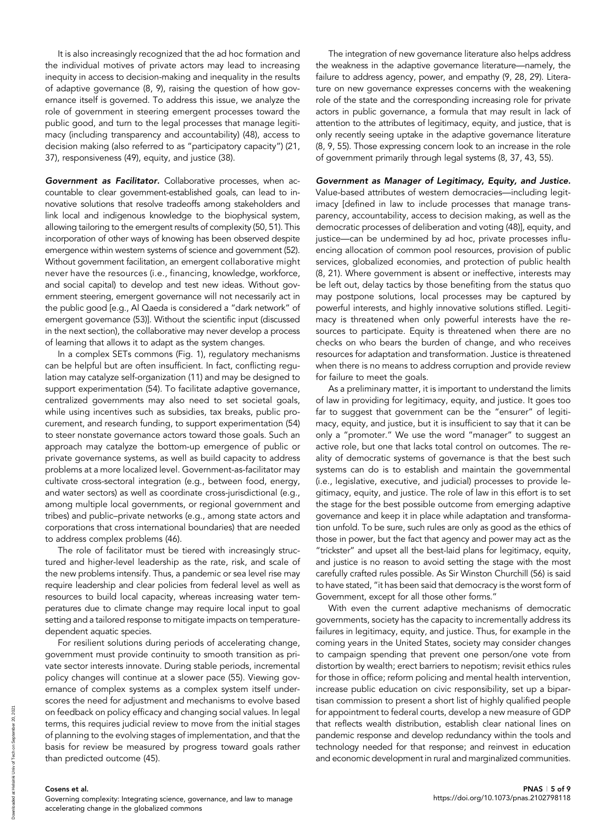It is also increasingly recognized that the ad hoc formation and the individual motives of private actors may lead to increasing inequity in access to decision-making and inequality in the results of adaptive governance (8, 9), raising the question of how governance itself is governed. To address this issue, we analyze the role of government in steering emergent processes toward the public good, and turn to the legal processes that manage legitimacy (including transparency and accountability) (48), access to decision making (also referred to as "participatory capacity") (21, 37), responsiveness (49), equity, and justice (38).

Government as Facilitator. Collaborative processes, when accountable to clear government-established goals, can lead to innovative solutions that resolve tradeoffs among stakeholders and link local and indigenous knowledge to the biophysical system, allowing tailoring to the emergent results of complexity (50, 51). This incorporation of other ways of knowing has been observed despite emergence within western systems of science and government (52). Without government facilitation, an emergent collaborative might never have the resources (i.e., financing, knowledge, workforce, and social capital) to develop and test new ideas. Without government steering, emergent governance will not necessarily act in the public good [e.g., Al Qaeda is considered a "dark network" of emergent governance (53)]. Without the scientific input (discussed in the next section), the collaborative may never develop a process of learning that allows it to adapt as the system changes.

In a complex SETs commons (Fig. 1), regulatory mechanisms can be helpful but are often insufficient. In fact, conflicting regulation may catalyze self-organization (11) and may be designed to support experimentation (54). To facilitate adaptive governance, centralized governments may also need to set societal goals, while using incentives such as subsidies, tax breaks, public procurement, and research funding, to support experimentation (54) to steer nonstate governance actors toward those goals. Such an approach may catalyze the bottom-up emergence of public or private governance systems, as well as build capacity to address problems at a more localized level. Government-as-facilitator may cultivate cross-sectoral integration (e.g., between food, energy, and water sectors) as well as coordinate cross-jurisdictional (e.g., among multiple local governments, or regional government and tribes) and public–private networks (e.g., among state actors and corporations that cross international boundaries) that are needed to address complex problems (46).

The role of facilitator must be tiered with increasingly structured and higher-level leadership as the rate, risk, and scale of the new problems intensify. Thus, a pandemic or sea level rise may require leadership and clear policies from federal level as well as resources to build local capacity, whereas increasing water temperatures due to climate change may require local input to goal setting and a tailored response to mitigate impacts on temperaturedependent aquatic species.

For resilient solutions during periods of accelerating change, government must provide continuity to smooth transition as private sector interests innovate. During stable periods, incremental policy changes will continue at a slower pace (55). Viewing governance of complex systems as a complex system itself underscores the need for adjustment and mechanisms to evolve based on feedback on policy efficacy and changing social values. In legal terms, this requires judicial review to move from the initial stages of planning to the evolving stages of implementation, and that the basis for review be measured by progress toward goals rather than predicted outcome (45).

The integration of new governance literature also helps address the weakness in the adaptive governance literature—namely, the failure to address agency, power, and empathy (9, 28, 29). Literature on new governance expresses concerns with the weakening role of the state and the corresponding increasing role for private actors in public governance, a formula that may result in lack of attention to the attributes of legitimacy, equity, and justice, that is only recently seeing uptake in the adaptive governance literature (8, 9, 55). Those expressing concern look to an increase in the role of government primarily through legal systems (8, 37, 43, 55).

Government as Manager of Legitimacy, Equity, and Justice. Value-based attributes of western democracies—including legitimacy [defined in law to include processes that manage transparency, accountability, access to decision making, as well as the democratic processes of deliberation and voting (48)], equity, and justice—can be undermined by ad hoc, private processes influencing allocation of common pool resources, provision of public services, globalized economies, and protection of public health (8, 21). Where government is absent or ineffective, interests may be left out, delay tactics by those benefiting from the status quo may postpone solutions, local processes may be captured by powerful interests, and highly innovative solutions stifled. Legitimacy is threatened when only powerful interests have the resources to participate. Equity is threatened when there are no checks on who bears the burden of change, and who receives resources for adaptation and transformation. Justice is threatened when there is no means to address corruption and provide review for failure to meet the goals.

As a preliminary matter, it is important to understand the limits of law in providing for legitimacy, equity, and justice. It goes too far to suggest that government can be the "ensurer" of legitimacy, equity, and justice, but it is insufficient to say that it can be only a "promoter." We use the word "manager" to suggest an active role, but one that lacks total control on outcomes. The reality of democratic systems of governance is that the best such systems can do is to establish and maintain the governmental (i.e., legislative, executive, and judicial) processes to provide legitimacy, equity, and justice. The role of law in this effort is to set the stage for the best possible outcome from emerging adaptive governance and keep it in place while adaptation and transformation unfold. To be sure, such rules are only as good as the ethics of those in power, but the fact that agency and power may act as the "trickster" and upset all the best-laid plans for legitimacy, equity, and justice is no reason to avoid setting the stage with the most carefully crafted rules possible. As Sir Winston Churchill (56) is said to have stated, "it has been said that democracy is the worst form of Government, except for all those other forms."

With even the current adaptive mechanisms of democratic governments, society has the capacity to incrementally address its failures in legitimacy, equity, and justice. Thus, for example in the coming years in the United States, society may consider changes to campaign spending that prevent one person/one vote from distortion by wealth; erect barriers to nepotism; revisit ethics rules for those in office; reform policing and mental health intervention, increase public education on civic responsibility, set up a bipartisan commission to present a short list of highly qualified people for appointment to federal courts, develop a new measure of GDP that reflects wealth distribution, establish clear national lines on pandemic response and develop redundancy within the tools and technology needed for that response; and reinvest in education and economic development in rural and marginalized communities.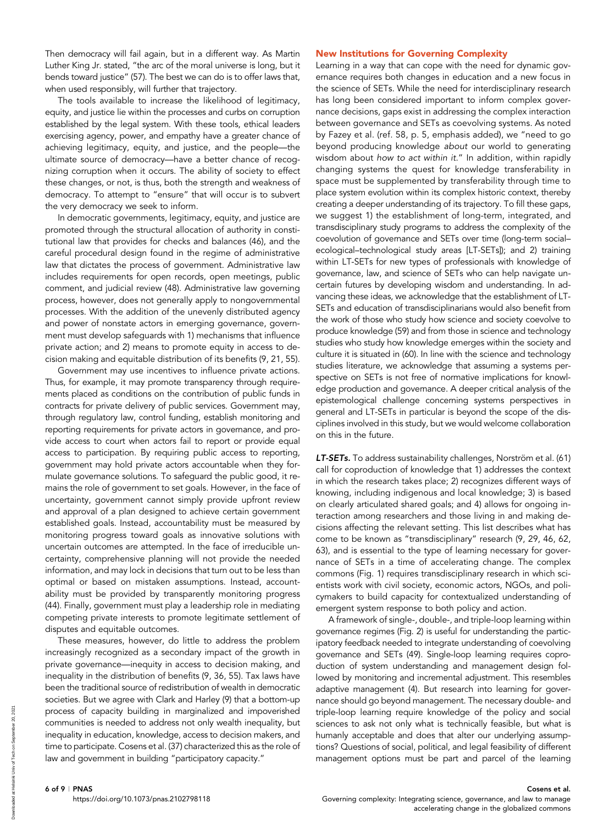Then democracy will fail again, but in a different way. As Martin Luther King Jr. stated, "the arc of the moral universe is long, but it bends toward justice" (57). The best we can do is to offer laws that, when used responsibly, will further that trajectory.

The tools available to increase the likelihood of legitimacy, equity, and justice lie within the processes and curbs on corruption established by the legal system. With these tools, ethical leaders exercising agency, power, and empathy have a greater chance of achieving legitimacy, equity, and justice, and the people—the ultimate source of democracy—have a better chance of recognizing corruption when it occurs. The ability of society to effect these changes, or not, is thus, both the strength and weakness of democracy. To attempt to "ensure" that will occur is to subvert the very democracy we seek to inform.

In democratic governments, legitimacy, equity, and justice are promoted through the structural allocation of authority in constitutional law that provides for checks and balances (46), and the careful procedural design found in the regime of administrative law that dictates the process of government. Administrative law includes requirements for open records, open meetings, public comment, and judicial review (48). Administrative law governing process, however, does not generally apply to nongovernmental processes. With the addition of the unevenly distributed agency and power of nonstate actors in emerging governance, government must develop safeguards with 1) mechanisms that influence private action; and 2) means to promote equity in access to decision making and equitable distribution of its benefits (9, 21, 55).

Government may use incentives to influence private actions. Thus, for example, it may promote transparency through requirements placed as conditions on the contribution of public funds in contracts for private delivery of public services. Government may, through regulatory law, control funding, establish monitoring and reporting requirements for private actors in governance, and provide access to court when actors fail to report or provide equal access to participation. By requiring public access to reporting, government may hold private actors accountable when they formulate governance solutions. To safeguard the public good, it remains the role of government to set goals. However, in the face of uncertainty, government cannot simply provide upfront review and approval of a plan designed to achieve certain government established goals. Instead, accountability must be measured by monitoring progress toward goals as innovative solutions with uncertain outcomes are attempted. In the face of irreducible uncertainty, comprehensive planning will not provide the needed information, and may lock in decisions that turn out to be less than optimal or based on mistaken assumptions. Instead, accountability must be provided by transparently monitoring progress (44). Finally, government must play a leadership role in mediating competing private interests to promote legitimate settlement of disputes and equitable outcomes.

These measures, however, do little to address the problem increasingly recognized as a secondary impact of the growth in private governance—inequity in access to decision making, and inequality in the distribution of benefits (9, 36, 55). Tax laws have been the traditional source of redistribution of wealth in democratic societies. But we agree with Clark and Harley (9) that a bottom-up process of capacity building in marginalized and impoverished communities is needed to address not only wealth inequality, but inequality in education, knowledge, access to decision makers, and time to participate. Cosens et al. (37) characterized this as the role of law and government in building "participatory capacity."

#### New Institutions for Governing Complexity

Learning in a way that can cope with the need for dynamic governance requires both changes in education and a new focus in the science of SETs. While the need for interdisciplinary research has long been considered important to inform complex governance decisions, gaps exist in addressing the complex interaction between governance and SETs as coevolving systems. As noted by Fazey et al. (ref. 58, p. 5, emphasis added), we "need to go beyond producing knowledge about our world to generating wisdom about how to act within it." In addition, within rapidly changing systems the quest for knowledge transferability in space must be supplemented by transferability through time to place system evolution within its complex historic context, thereby creating a deeper understanding of its trajectory. To fill these gaps, we suggest 1) the establishment of long-term, integrated, and transdisciplinary study programs to address the complexity of the coevolution of governance and SETs over time (long-term social– ecological–technological study areas [LT-SETs]); and 2) training within LT-SETs for new types of professionals with knowledge of governance, law, and science of SETs who can help navigate uncertain futures by developing wisdom and understanding. In advancing these ideas, we acknowledge that the establishment of LT-SETs and education of transdisciplinarians would also benefit from the work of those who study how science and society coevolve to produce knowledge (59) and from those in science and technology studies who study how knowledge emerges within the society and culture it is situated in (60). In line with the science and technology studies literature, we acknowledge that assuming a systems perspective on SETs is not free of normative implications for knowledge production and governance. A deeper critical analysis of the epistemological challenge concerning systems perspectives in general and LT-SETs in particular is beyond the scope of the disciplines involved in this study, but we would welcome collaboration on this in the future.

LT-SETs. To address sustainability challenges, Norström et al. (61) call for coproduction of knowledge that 1) addresses the context in which the research takes place; 2) recognizes different ways of knowing, including indigenous and local knowledge; 3) is based on clearly articulated shared goals; and 4) allows for ongoing interaction among researchers and those living in and making decisions affecting the relevant setting. This list describes what has come to be known as "transdisciplinary" research (9, 29, 46, 62, 63), and is essential to the type of learning necessary for governance of SETs in a time of accelerating change. The complex commons (Fig. 1) requires transdisciplinary research in which scientists work with civil society, economic actors, NGOs, and policymakers to build capacity for contextualized understanding of emergent system response to both policy and action.

A framework of single-, double-, and triple-loop learning within governance regimes (Fig. 2) is useful for understanding the participatory feedback needed to integrate understanding of coevolving governance and SETs (49). Single-loop learning requires coproduction of system understanding and management design followed by monitoring and incremental adjustment. This resembles adaptive management (4). But research into learning for governance should go beyond management. The necessary double- and triple-loop learning require knowledge of the policy and social sciences to ask not only what is technically feasible, but what is humanly acceptable and does that alter our underlying assumptions? Questions of social, political, and legal feasibility of different management options must be part and parcel of the learning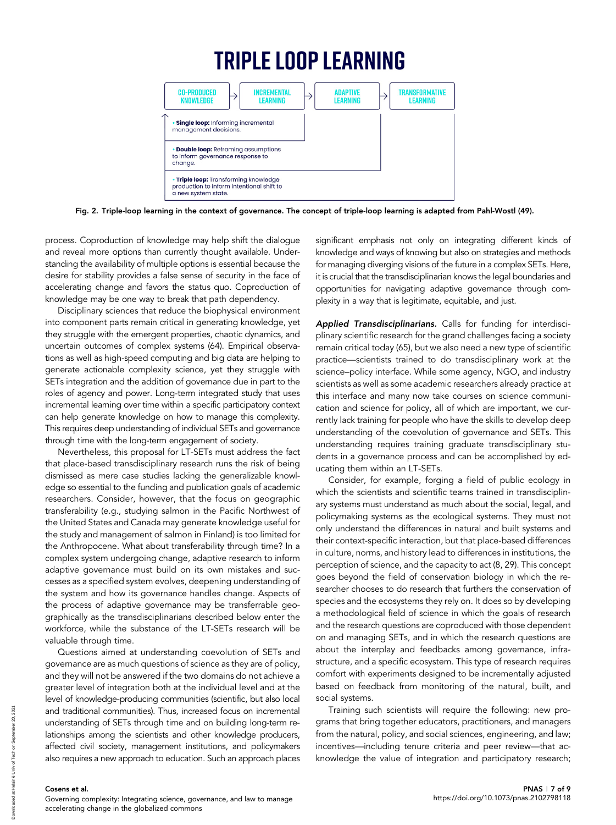# **TRIPLE LOOP LEARNING**



Fig. 2. Triple-loop learning in the context of governance. The concept of triple-loop learning is adapted from Pahl-Wostl (49).

process. Coproduction of knowledge may help shift the dialogue and reveal more options than currently thought available. Understanding the availability of multiple options is essential because the desire for stability provides a false sense of security in the face of accelerating change and favors the status quo. Coproduction of knowledge may be one way to break that path dependency.

Disciplinary sciences that reduce the biophysical environment into component parts remain critical in generating knowledge, yet they struggle with the emergent properties, chaotic dynamics, and uncertain outcomes of complex systems (64). Empirical observations as well as high-speed computing and big data are helping to generate actionable complexity science, yet they struggle with SETs integration and the addition of governance due in part to the roles of agency and power. Long-term integrated study that uses incremental learning over time within a specific participatory context can help generate knowledge on how to manage this complexity. This requires deep understanding of individual SETs and governance through time with the long-term engagement of society.

Nevertheless, this proposal for LT-SETs must address the fact that place-based transdisciplinary research runs the risk of being dismissed as mere case studies lacking the generalizable knowledge so essential to the funding and publication goals of academic researchers. Consider, however, that the focus on geographic transferability (e.g., studying salmon in the Pacific Northwest of the United States and Canada may generate knowledge useful for the study and management of salmon in Finland) is too limited for the Anthropocene. What about transferability through time? In a complex system undergoing change, adaptive research to inform adaptive governance must build on its own mistakes and successes as a specified system evolves, deepening understanding of the system and how its governance handles change. Aspects of the process of adaptive governance may be transferrable geographically as the transdisciplinarians described below enter the workforce, while the substance of the LT-SETs research will be valuable through time.

Questions aimed at understanding coevolution of SETs and governance are as much questions of science as they are of policy, and they will not be answered if the two domains do not achieve a greater level of integration both at the individual level and at the level of knowledge-producing communities (scientific, but also local and traditional communities). Thus, increased focus on incremental understanding of SETs through time and on building long-term relationships among the scientists and other knowledge producers, affected civil society, management institutions, and policymakers also requires a new approach to education. Such an approach places

significant emphasis not only on integrating different kinds of knowledge and ways of knowing but also on strategies and methods for managing diverging visions of the future in a complex SETs. Here, it is crucial that the transdisciplinarian knows the legal boundaries and opportunities for navigating adaptive governance through complexity in a way that is legitimate, equitable, and just.

Applied Transdisciplinarians. Calls for funding for interdisciplinary scientific research for the grand challenges facing a society remain critical today (65), but we also need a new type of scientific practice—scientists trained to do transdisciplinary work at the science–policy interface. While some agency, NGO, and industry scientists as well as some academic researchers already practice at this interface and many now take courses on science communication and science for policy, all of which are important, we currently lack training for people who have the skills to develop deep understanding of the coevolution of governance and SETs. This understanding requires training graduate transdisciplinary students in a governance process and can be accomplished by educating them within an LT-SETs.

Consider, for example, forging a field of public ecology in which the scientists and scientific teams trained in transdisciplinary systems must understand as much about the social, legal, and policymaking systems as the ecological systems. They must not only understand the differences in natural and built systems and their context-specific interaction, but that place-based differences in culture, norms, and history lead to differences in institutions, the perception of science, and the capacity to act (8, 29). This concept goes beyond the field of conservation biology in which the researcher chooses to do research that furthers the conservation of species and the ecosystems they rely on. It does so by developing a methodological field of science in which the goals of research and the research questions are coproduced with those dependent on and managing SETs, and in which the research questions are about the interplay and feedbacks among governance, infrastructure, and a specific ecosystem. This type of research requires comfort with experiments designed to be incrementally adjusted based on feedback from monitoring of the natural, built, and social systems.

Training such scientists will require the following: new programs that bring together educators, practitioners, and managers from the natural, policy, and social sciences, engineering, and law; incentives—including tenure criteria and peer review—that acknowledge the value of integration and participatory research;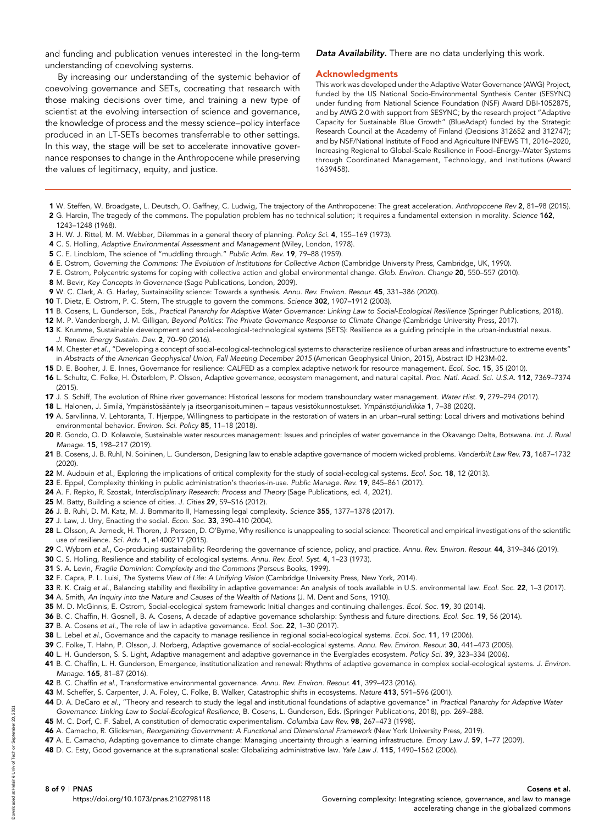and funding and publication venues interested in the long-term understanding of coevolving systems.

By increasing our understanding of the systemic behavior of coevolving governance and SETs, cocreating that research with those making decisions over time, and training a new type of scientist at the evolving intersection of science and governance, the knowledge of process and the messy science–policy interface produced in an LT-SETs becomes transferrable to other settings. In this way, the stage will be set to accelerate innovative governance responses to change in the Anthropocene while preserving the values of legitimacy, equity, and justice.

#### Data Availability. There are no data underlying this work.

#### Acknowledgments

This work was developed under the Adaptive Water Governance (AWG) Project, funded by the US National Socio-Environmental Synthesis Center (SESYNC) under funding from National Science Foundation (NSF) Award DBI-1052875, and by AWG 2.0 with support from SESYNC; by the research project "Adaptive Capacity for Sustainable Blue Growth" (BlueAdapt) funded by the Strategic Research Council at the Academy of Finland (Decisions 312652 and 312747); and by NSF/National Institute of Food and Agriculture INFEWS T1, 2016–2020, Increasing Regional to Global-Scale Resilience in Food–Energy–Water Systems through Coordinated Management, Technology, and Institutions (Award 1639458).

- 1 W. Steffen, W. Broadgate, L. Deutsch, O. Gaffney, C. Ludwig, The trajectory of the Anthropocene: The great acceleration. Anthropocene Rev 2, 81–98 (2015). 2 G. Hardin, The tragedy of the commons. The population problem has no technical solution; It requires a fundamental extension in morality. Science 162,
- 1243–1248 (1968).
- 3 H. W. J. Rittel, M. M. Webber, Dilemmas in a general theory of planning. Policy Sci. 4, 155-169 (1973).
- 4 C. S. Holling, Adaptive Environmental Assessment and Management (Wiley, London, 1978).
- 5 C. E. Lindblom, The science of "muddling through." Public Adm. Rev. 19, 79–88 (1959).
- 6 E. Ostrom, Governing the Commons: The Evolution of Institutions for Collective Action (Cambridge University Press, Cambridge, UK, 1990).
- 7 E. Ostrom, Polycentric systems for coping with collective action and global environmental change. Glob. Environ. Change 20, 550–557 (2010).
- 8 M. Bevir, Key Concepts in Governance (Sage Publications, London, 2009).
- 9 W. C. Clark, A. G. Harley, Sustainability science: Towards a synthesis. Annu. Rev. Environ. Resour. 45, 331–386 (2020).
- 10 T. Dietz, E. Ostrom, P. C. Stern, The struggle to govern the commons. Science 302, 1907–1912 (2003).
- 11 B. Cosens, L. Gunderson, Eds., Practical Panarchy for Adaptive Water Governance: Linking Law to Social-Ecological Resilience (Springer Publications, 2018).
- 12 M. P. Vandenbergh, J. M. Gilligan, Beyond Politics: The Private Governance Response to Climate Change (Cambridge University Press, 2017).
- 13 K. Krumme, Sustainable development and social-ecological-technological systems (SETS): Resilience as a guiding principle in the urban-industrial nexus. J. Renew. Energy Sustain. Dev. 2, 70–90 (2016).
- 14 M. Chester et al., "Developing a concept of social-ecological-technological systems to characterize resilience of urban areas and infrastructure to extreme events" in Abstracts of the American Geophysical Union, Fall Meeting December 2015 (American Geophysical Union, 2015), Abstract ID H23M-02.
- 15 D. E. Booher, J. E. Innes, Governance for resilience: CALFED as a complex adaptive network for resource management. Ecol. Soc. 15, 35 (2010).
- 16 L. Schultz, C. Folke, H. Österblom, P. Olsson, Adaptive governance, ecosystem management, and natural capital. Proc. Natl. Acad. Sci. U.S.A. 112, 7369–7374 (2015).
- 17 J. S. Schiff, The evolution of Rhine river governance: Historical lessons for modern transboundary water management. Water Hist. 9, 279–294 (2017).
- 18 L. Halonen, J. Similä, Ympäristösääntely ja itseorganisoituminen tapaus vesistökunnostukset. Ympäristöjuridiikka 1, 7–38 (2020).
- 19 A. Sarvilinna, V. Lehtoranta, T. Hjerppe, Willingness to participate in the restoration of waters in an urban–rural setting: Local drivers and motivations behind environmental behavior. Environ. Sci. Policy 85, 11–18 (2018).
- 20 R. Gondo, O. D. Kolawole, Sustainable water resources management: Issues and principles of water governance in the Okavango Delta, Botswana. Int. J. Rural Manage. 15, 198–217 (2019).
- 21 B. Cosens, J. B. Ruhl, N. Soininen, L. Gunderson, Designing law to enable adaptive governance of modern wicked problems. Vanderbilt Law Rev. 73, 1687-1732 (2020).
- 22 M. Audouin et al., Exploring the implications of critical complexity for the study of social-ecological systems. Ecol. Soc. 18, 12 (2013).
- 23 E. Eppel, Complexity thinking in public administration's theories-in-use. Public Manage. Rev. 19, 845–861 (2017).
- 24 A. F. Repko, R. Szostak, Interdisciplinary Research: Process and Theory (Sage Publications, ed. 4, 2021).
- 25 M. Batty, Building a science of cities. J. Cities 29, S9–S16 (2012).
- 26 J. B. Ruhl, D. M. Katz, M. J. Bommarito II, Harnessing legal complexity. Science 355, 1377–1378 (2017).
- 27 J. Law, J. Urry, Enacting the social. Econ. Soc. 33, 390-410 (2004).
- 28 L. Olsson, A. Jerneck, H. Thoren, J. Persson, D. O'Byrne, Why resilience is unappealing to social science: Theoretical and empirical investigations of the scientific use of resilience. Sci. Adv. 1, e1400217 (2015).
- 29 C. Wyborn et al., Co-producing sustainability: Reordering the governance of science, policy, and practice. Annu. Rev. Environ. Resour. 44, 319-346 (2019).
- 30 C. S. Holling, Resilience and stability of ecological systems. Annu. Rev. Ecol. Syst. 4, 1–23 (1973).
- 31 S. A. Levin, Fragile Dominion: Complexity and the Commons (Perseus Books, 1999).
- 32 F. Capra, P. L. Luisi, The Systems View of Life: A Unifying Vision (Cambridge University Press, New York, 2014).
- 33 R. K. Craig et al., Balancing stability and flexibility in adaptive governance: An analysis of tools available in U.S. environmental law. Ecol. Soc. 22, 1-3 (2017).
- 34 A. Smith, An Inquiry into the Nature and Causes of the Wealth of Nations (J. M. Dent and Sons, 1910).
- 35 M. D. McGinnis, E. Ostrom, Social-ecological system framework: Initial changes and continuing challenges. Ecol. Soc. 19, 30 (2014).
- 36 B. C. Chaffin, H. Gosnell, B. A. Cosens, A decade of adaptive governance scholarship: Synthesis and future directions. Ecol. Soc. 19, 56 (2014).
- 37 B. A. Cosens et al., The role of law in adaptive governance. Ecol. Soc. 22, 1-30 (2017).
- 38 L. Lebel et al., Governance and the capacity to manage resilience in regional social-ecological systems. Ecol. Soc. 11, 19 (2006).
- 39 C. Folke, T. Hahn, P. Olsson, J. Norberg, Adaptive governance of social-ecological systems. Annu. Rev. Environ. Resour. 30, 441-473 (2005).
- 40 L. H. Gunderson, S. S. Light, Adaptive management and adaptive governance in the Everglades ecosystem. Policy Sci. 39, 323-334 (2006).
- 41 B. C. Chaffin, L. H. Gunderson, Emergence, institutionalization and renewal: Rhythms of adaptive governance in complex social-ecological systems. J. Environ. Manage. 165, 81–87 (2016).
- 42 B. C. Chaffin et al., Transformative environmental governance. Annu. Rev. Environ. Resour. 41, 399-423 (2016).
- 43 M. Scheffer, S. Carpenter, J. A. Foley, C. Folke, B. Walker, Catastrophic shifts in ecosystems. Nature 413, 591-596 (2001).
- 44 D. A. DeCaro et al., "Theory and research to study the legal and institutional foundations of adaptive governance" in Practical Panarchy for Adaptive Water
- Governance: Linking Law to Social-Ecological Resilience, B. Cosens, L. Gunderson, Eds. (Springer Publications, 2018), pp. 269–288.
- 45 M. C. Dorf, C. F. Sabel, A constitution of democratic experimentalism. Columbia Law Rev. 98, 267-473 (1998).
- 46 A. Camacho, R. Glicksman, Reorganizing Government: A Functional and Dimensional Framework (New York University Press, 2019).
- 47 A. E. Camacho, Adapting governance to climate change: Managing uncertainty through a learning infrastructure. Emory Law J. 59, 1-77 (2009).
- 48 D. C. Esty, Good governance at the supranational scale: Globalizing administrative law. Yale Law J. 115, 1490-1562 (2006).